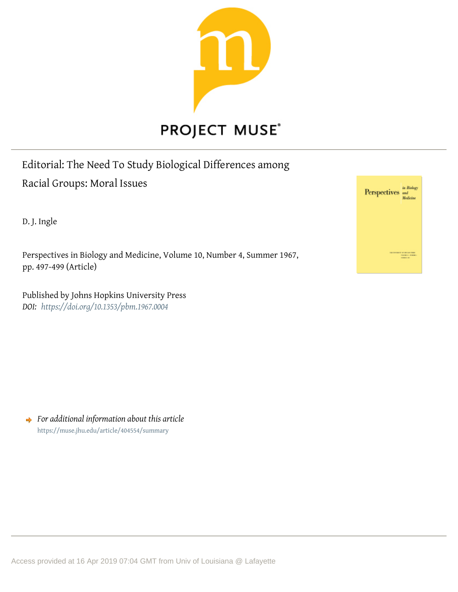

# Editorial: The Need To Study Biological Differences among Racial Groups: Moral Issues

D. J. Ingle

Perspectives in Biology and Medicine, Volume 10, Number 4, Summer 1967, pp. 497-499 (Article)

Published by Johns Hopkins University Press *DOI: <https://doi.org/10.1353/pbm.1967.0004>*



*For additional information about this article* <https://muse.jhu.edu/article/404554/summary>

Access provided at 16 Apr 2019 07:04 GMT from Univ of Louisiana @ Lafayette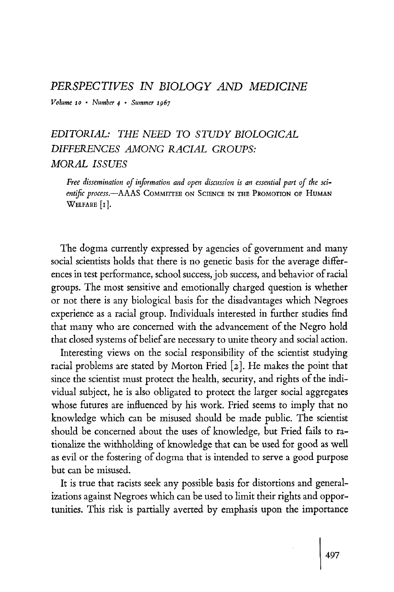#### PERSPECTIVES IN BIOLOGY AND MEDICINE

Volume io · Number 4 · Summer 1967

## EDITORIAL: THE NEED TO STUDY BIOLOGICAL DIFFERENCES AMONG RACIAL GROUPS: MORAL ISSUES

Free dissemination of information and open discussion is an essential part of the scientific process.—AAAS COMMITTEE ON SCIENCE IN THE PROMOTION OF HUMAN WELFARE [1].

The dogma currently expressed by agencies of government and many social scientists holds that there is no genetic basis for the average differences in test performance, school success, job success, and behavior of racial groups. The most sensitive and emotionally charged question is whether or not there is any biological basis for the disadvantages which Negroes experience as a racial group. Individuals interested in further studies find that many who are concerned with the advancement of the Negro hold that closed systems of belief are necessary to unite theory and social action.

Interesting views on the social responsibility of the scientist studying racial problems are stated by Morton Fried [2]. He makes the point that since the scientist must protect the health, security, and rights of the individual subject, he is also obligated to protect the larger social aggregates whose futures are influenced by his work. Fried seems to imply that no knowledge which can be misused should be made public. The scientist should be concerned about the uses of knowledge, but Fried fails to rationalize the withholding of knowledge that can be used for good as well as evil or the fostering of dogma that is intended to serve a good purpose but can be misused.

It is true that racists seek any possible basis for distortions and generalizations against Negroes which can be used to limit their rights and opportunities. This risk is partially averted by emphasis upon the importance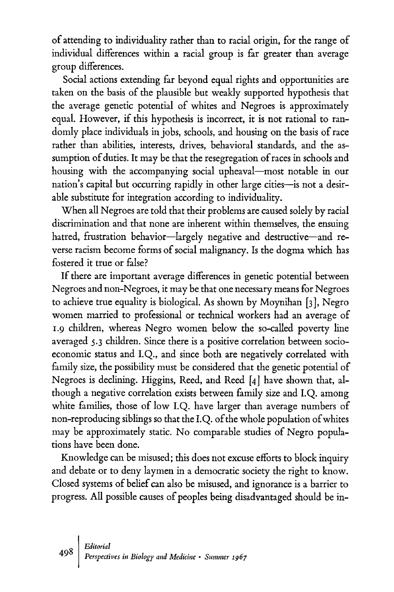of attending to individuality rather than to racial origin, for the range of individual differences within a racial group is far greater than average group differences.

Social actions extending far beyond equal rights and opportunities are taken on the basis of the plausible but weakly supported hypothesis that the average genetic potential of whites and Negroes is approximately equal. However, if this hypothesis is incorrect, it is not rational to randomly place individuals in jobs, schools, and housing on the basis of race rather than abilities, interests, drives, behavioral standards, and the assumption of duties. It may be that the resegregation of races in schools and housing with the accompanying social upheaval—most notable in our nation's capital but occurring rapidly in other large cities—is not a desirable substitute for integration according to individuality.

When all Negroes are told that their problems are caused solely by racial discrimination and that none are inherent within themselves, the ensuing hatred, frustration behavior—largely negative and destructive—and reverse racism become forms of social malignancy. Is the dogma which has fostered it true or false?

If there are important average differences in genetic potential between Negroes and non-Negroes, it may be that one necessary means for Negroes to achieve true equality is biological. As shown by Moynihan [3], Negro women married to professional or technical workers had an average of 1.9 children, whereas Negro women below the so-called poverty line averaged 5.3 children. Since there is a positive correlation between socioeconomic status and I.Q., and since both are negatively correlated with family size, the possibility must be considered that the genetic potential of Negroes is declining. Higgins, Reed, and Reed [4] have shown that, although a negative correlation exists between family size and I.Q. among white families, those of low I.Q. have larger than average numbers of non-reproducing siblings so that the I.Q. of the whole population of whites may be approximately static. No comparable studies of Negro populations have been done.

Knowledge can be misused; this does not excuse efforts to block inquiry and debate or to deny laymen in a democratic society the right to know. Closed systems of belief can also be misused, and ignorance is a barrier to progress. All possible causes of peoples being disadvantaged should be in